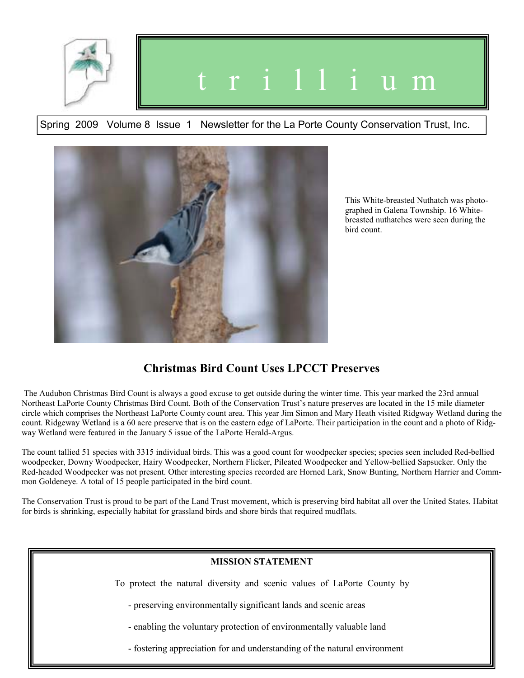

# t r i l l i u m

Spring 2009 Volume 8 Issue 1 Newsletter for the La Porte County Conservation Trust, Inc.



This White-breasted Nuthatch was photographed in Galena Township. 16 Whitebreasted nuthatches were seen during the bird count.

## **Christmas Bird Count Uses LPCCT Preserves**

 The Audubon Christmas Bird Count is always a good excuse to get outside during the winter time. This year marked the 23rd annual Northeast LaPorte County Christmas Bird Count. Both of the Conservation Trust's nature preserves are located in the 15 mile diameter circle which comprises the Northeast LaPorte County count area. This year Jim Simon and Mary Heath visited Ridgway Wetland during the count. Ridgeway Wetland is a 60 acre preserve that is on the eastern edge of LaPorte. Their participation in the count and a photo of Ridgway Wetland were featured in the January 5 issue of the LaPorte Herald-Argus.

The count tallied 51 species with 3315 individual birds. This was a good count for woodpecker species; species seen included Red-bellied woodpecker, Downy Woodpecker, Hairy Woodpecker, Northern Flicker, Pileated Woodpecker and Yellow-bellied Sapsucker. Only the Red-headed Woodpecker was not present. Other interesting species recorded are Horned Lark, Snow Bunting, Northern Harrier and Commmon Goldeneye. A total of 15 people participated in the bird count.

The Conservation Trust is proud to be part of the Land Trust movement, which is preserving bird habitat all over the United States. Habitat for birds is shrinking, especially habitat for grassland birds and shore birds that required mudflats.

## **MISSION STATEMENT**

To protect the natural diversity and scenic values of LaPorte County by

- preserving environmentally significant lands and scenic areas

- enabling the voluntary protection of environmentally valuable land

- fostering appreciation for and understanding of the natural environment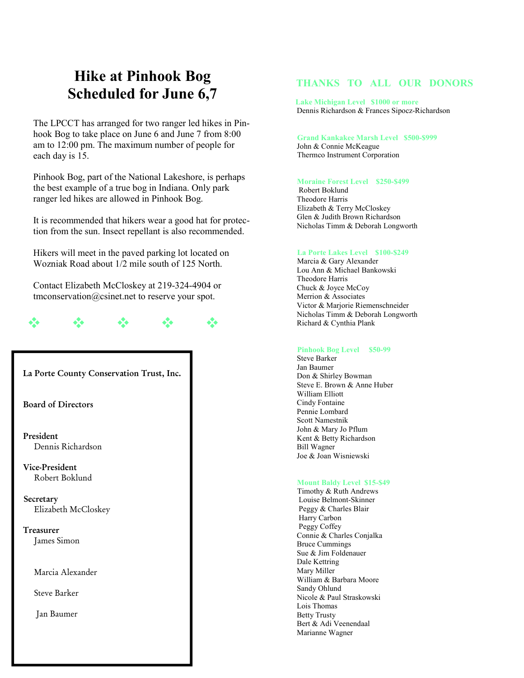# **Hike at Pinhook Bog Scheduled for June 6,7**

The LPCCT has arranged for two ranger led hikes in Pinhook Bog to take place on June 6 and June 7 from 8:00 am to 12:00 pm. The maximum number of people for each day is 15.

Pinhook Bog, part of the National Lakeshore, is perhaps the best example of a true bog in Indiana. Only park ranger led hikes are allowed in Pinhook Bog.

It is recommended that hikers wear a good hat for protection from the sun. Insect repellant is also recommended.

Hikers will meet in the paved parking lot located on Wozniak Road about 1/2 mile south of 125 North.

Contact Elizabeth McCloskey at 219-324-4904 or tmconservation@csinet.net to reserve your spot.

# $\Phi = \Phi = \Phi = \Phi = \Phi =$

## **La Porte County Conservation Trust, Inc.**

**Board of Directors** 

 **President**  Dennis Richardson

 **Vice-President** Robert Boklund

 **Secretary**  Elizabeth McCloskey

 **Treasurer**  James Simon

Marcia Alexander

Steve Barker

Jan Baumer

## **THANKS TO ALL OUR DONORS**

 **Lake Michigan Level \$1000 or more** Dennis Richardson & Frances Sipocz-Richardson

 **Grand Kankakee Marsh Level \$500-\$999** John & Connie McKeague Thermco Instrument Corporation

#### **Moraine Forest Level \$250-\$499**

 Robert Boklund Theodore Harris Elizabeth & Terry McCloskey Glen & Judith Brown Richardson Nicholas Timm & Deborah Longworth

#### **La Porte Lakes Level \$100-\$249**

 Marcia & Gary Alexander Lou Ann & Michael Bankowski Theodore Harris Chuck & Joyce McCoy Merrion & Associates Victor & Marjorie Riemenschneider Nicholas Timm & Deborah Longworth Richard & Cynthia Plank

#### **Pinhook Bog Level \$50-99**

 Steve Barker Jan Baumer Don & Shirley Bowman Steve E. Brown & Anne Huber William Elliott Cindy Fontaine Pennie Lombard Scott Namestnik John & Mary Jo Pflum Kent & Betty Richardson Bill Wagner Joe & Joan Wisniewski

### **Mount Baldy Level \$15-\$49**

 Timothy & Ruth Andrews Louise Belmont-Skinner Peggy & Charles Blair Harry Carbon Peggy Coffey Connie & Charles Conjalka Bruce Cummings Sue & Jim Foldenauer Dale Kettring Mary Miller William & Barbara Moore Sandy Ohlund Nicole & Paul Straskowski Lois Thomas Betty Trusty Bert & Adi Veenendaal Marianne Wagner